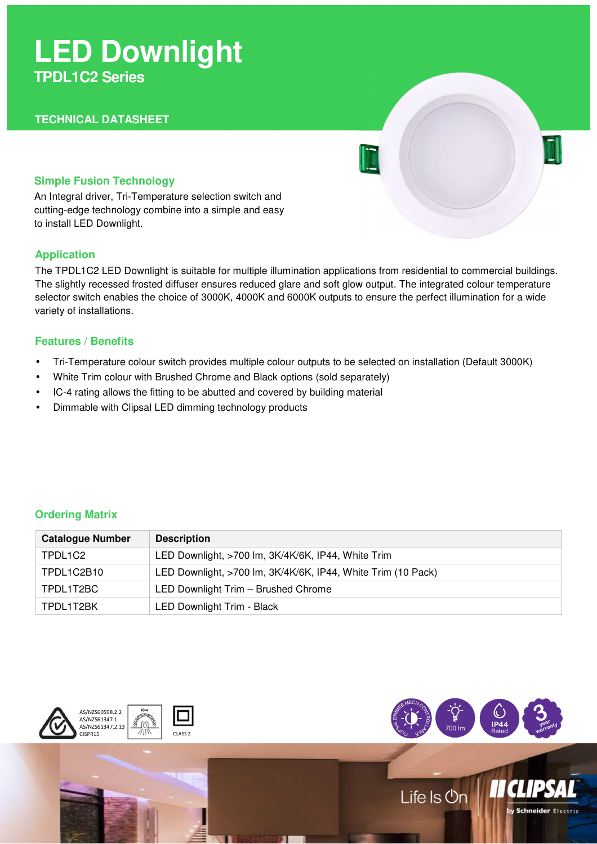# **LED Downlight TPDL1C2 Series**

# **TECHNICAL DATASHEET**

## **Simple Fusion Technology**

An Integral driver, Tri-Temperature selection switch and cutting-edge technology combine into a simple and easy to install LED Downlight.

## **Application**

The TPDL1C2 LED Downlight is suitable for multiple illumination applications from residential to commercial buildings. The slightly recessed frosted diffuser ensures reduced glare and soft glow output. The integrated colour temperature selector switch enables the choice of 3000K, 4000K and 6000K outputs to ensure the perfect illumination for a wide variety of installations.

## **Features / Benefits**

- Tri-Temperature colour switch provides multiple colour outputs to be selected on installation (Default 3000K)
- White Trim colour with Brushed Chrome and Black options (sold separately)
- IC-4 rating allows the fitting to be abutted and covered by building material
- Dimmable with Clipsal LED dimming technology products

# **Ordering Matrix**

| <b>Catalogue Number</b> | <b>Description</b>                                           |
|-------------------------|--------------------------------------------------------------|
| TPDL1C2                 | LED Downlight, >700 lm, 3K/4K/6K, IP44, White Trim           |
| TPDL1C2B10              | LED Downlight, >700 lm, 3K/4K/6K, IP44, White Trim (10 Pack) |
| TPDL1T2BC               | LED Downlight Trim - Brushed Chrome                          |
| TPDL1T2BK               | LED Downlight Trim - Black                                   |





by Schneider Electric

Life Is On